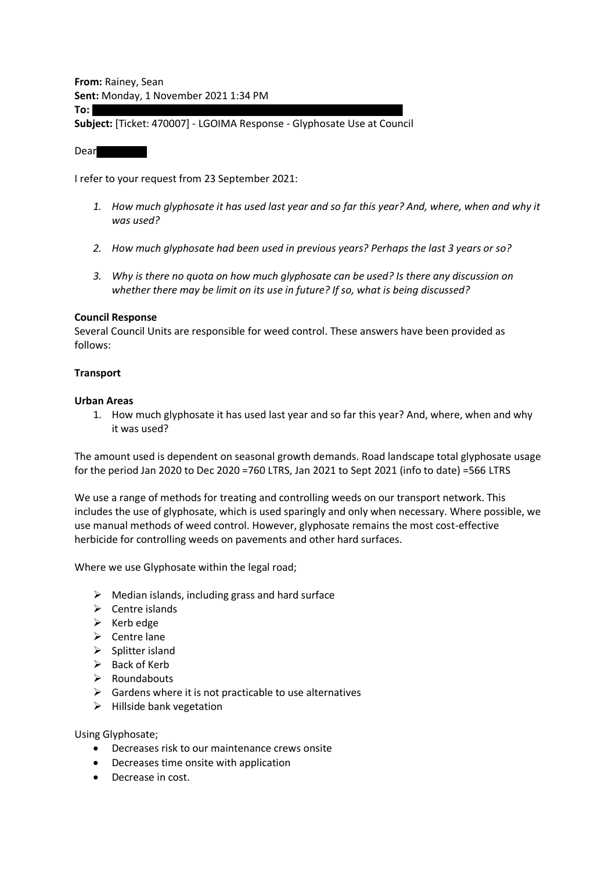**From:** Rainey, Sean **Sent:** Monday, 1 November 2021 1:34 PM

**To:**

**Subject:** [Ticket: 470007] - LGOIMA Response - Glyphosate Use at Council

Dear

I refer to your request from 23 September 2021:

- *1. How much glyphosate it has used last year and so far this year? And, where, when and why it was used?*
- *2. How much glyphosate had been used in previous years? Perhaps the last 3 years or so?*
- *3. Why is there no quota on how much glyphosate can be used? Is there any discussion on whether there may be limit on its use in future? If so, what is being discussed?*

#### **Council Response**

Several Council Units are responsible for weed control. These answers have been provided as follows:

#### **Transport**

#### **Urban Areas**

1. How much glyphosate it has used last year and so far this year? And, where, when and why it was used?

The amount used is dependent on seasonal growth demands. Road landscape total glyphosate usage for the period Jan 2020 to Dec 2020 =760 LTRS, Jan 2021 to Sept 2021 (info to date) =566 LTRS

We use a range of methods for treating and controlling weeds on our transport network. This includes the use of glyphosate, which is used sparingly and only when necessary. Where possible, we use manual methods of weed control. However, glyphosate remains the most cost-effective herbicide for controlling weeds on pavements and other hard surfaces.

Where we use Glyphosate within the legal road;

- $\triangleright$  Median islands, including grass and hard surface
- $\triangleright$  Centre islands
- $\triangleright$  Kerb edge
- $\triangleright$  Centre lane
- $\triangleright$  Splitter island
- $\triangleright$  Back of Kerb
- $\triangleright$  Roundabouts
- $\triangleright$  Gardens where it is not practicable to use alternatives
- $\triangleright$  Hillside bank vegetation

#### Using Glyphosate;

- Decreases risk to our maintenance crews onsite
- Decreases time onsite with application
- Decrease in cost.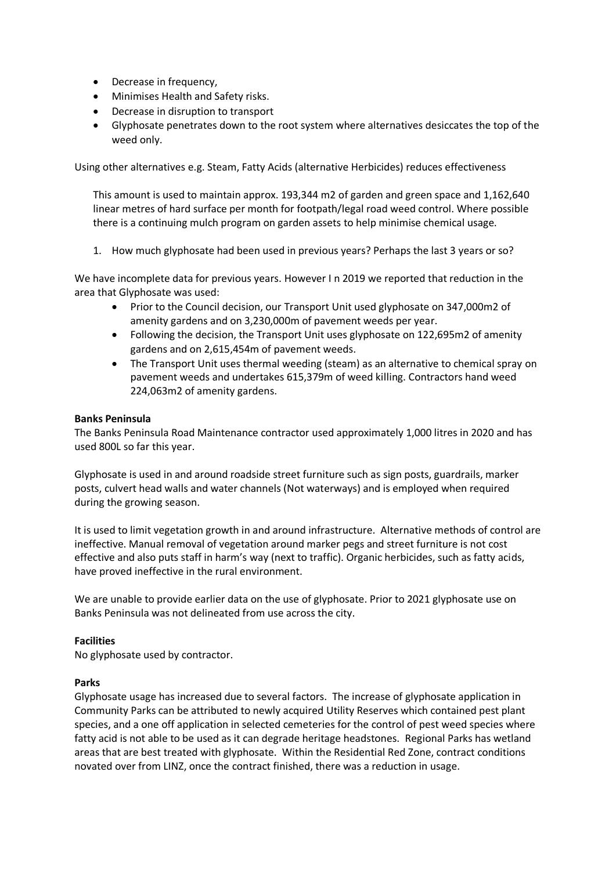- Decrease in frequency,
- Minimises Health and Safety risks.
- Decrease in disruption to transport
- Glyphosate penetrates down to the root system where alternatives desiccates the top of the weed only.

Using other alternatives e.g. Steam, Fatty Acids (alternative Herbicides) reduces effectiveness

This amount is used to maintain approx. 193,344 m2 of garden and green space and 1,162,640 linear metres of hard surface per month for footpath/legal road weed control. Where possible there is a continuing mulch program on garden assets to help minimise chemical usage.

1. How much glyphosate had been used in previous years? Perhaps the last 3 years or so?

We have incomplete data for previous years. However I n 2019 we reported that reduction in the area that Glyphosate was used:

- Prior to the Council decision, our Transport Unit used glyphosate on 347,000m2 of amenity gardens and on 3,230,000m of pavement weeds per year.
- Following the decision, the Transport Unit uses glyphosate on 122,695m2 of amenity gardens and on 2,615,454m of pavement weeds.
- The Transport Unit uses thermal weeding (steam) as an alternative to chemical spray on pavement weeds and undertakes 615,379m of weed killing. Contractors hand weed 224,063m2 of amenity gardens.

# **Banks Peninsula**

The Banks Peninsula Road Maintenance contractor used approximately 1,000 litres in 2020 and has used 800L so far this year.

Glyphosate is used in and around roadside street furniture such as sign posts, guardrails, marker posts, culvert head walls and water channels (Not waterways) and is employed when required during the growing season.

It is used to limit vegetation growth in and around infrastructure. Alternative methods of control are ineffective. Manual removal of vegetation around marker pegs and street furniture is not cost effective and also puts staff in harm's way (next to traffic). Organic herbicides, such as fatty acids, have proved ineffective in the rural environment.

We are unable to provide earlier data on the use of glyphosate. Prior to 2021 glyphosate use on Banks Peninsula was not delineated from use across the city.

# **Facilities**

No glyphosate used by contractor.

# **Parks**

Glyphosate usage has increased due to several factors. The increase of glyphosate application in Community Parks can be attributed to newly acquired Utility Reserves which contained pest plant species, and a one off application in selected cemeteries for the control of pest weed species where fatty acid is not able to be used as it can degrade heritage headstones. Regional Parks has wetland areas that are best treated with glyphosate. Within the Residential Red Zone, contract conditions novated over from LINZ, once the contract finished, there was a reduction in usage.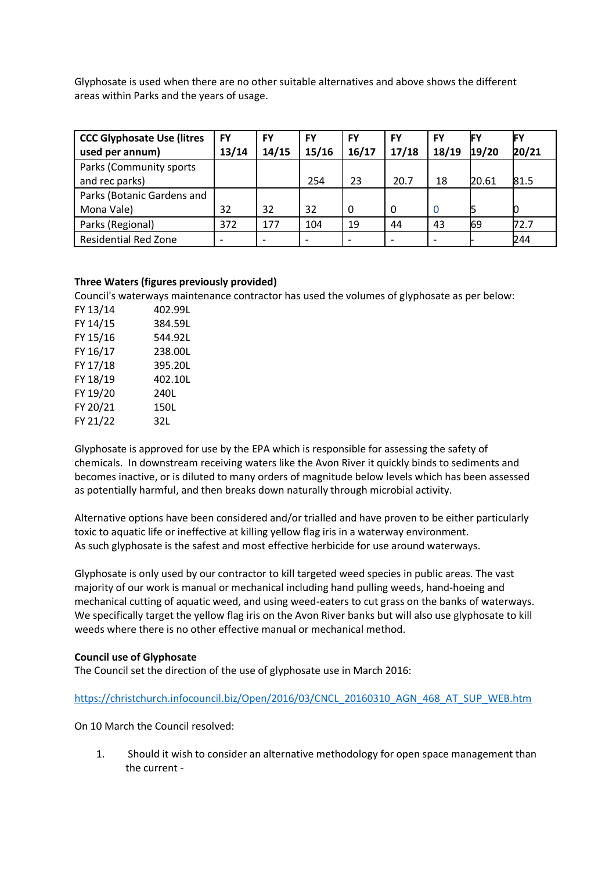Glyphosate is used when there are no other suitable alternatives and above shows the different areas within Parks and the years of usage.

| <b>CCC Glyphosate Use (litres</b> | <b>FY</b> | <b>FY</b> | <b>FY</b> | <b>FY</b> | <b>FY</b> | <b>FY</b> | IF۱   |       |
|-----------------------------------|-----------|-----------|-----------|-----------|-----------|-----------|-------|-------|
| used per annum)                   | 13/14     | 14/15     | 15/16     | 16/17     | 17/18     | 18/19     | 19/20 | 20/21 |
| Parks (Community sports           |           |           |           |           |           |           |       |       |
| and rec parks)                    |           |           | 254       | 23        | 20.7      | 18        | 20.61 | 81.5  |
| Parks (Botanic Gardens and        |           |           |           |           |           |           |       |       |
| Mona Vale)                        | 32        | 32        | 32        | 0         | 0         | $\Omega$  |       |       |
| Parks (Regional)                  | 372       | 177       | 104       | 19        | 44        | 43        | 69    | 72.7  |
| <b>Residential Red Zone</b>       |           | ۰         |           |           |           |           |       | 244   |

# **Three Waters (figures previously provided)**

Council's waterways maintenance contractor has used the volumes of glyphosate as per below:

| FY 13/14 | 402.99L |
|----------|---------|
| FY 14/15 | 384.59L |
| FY 15/16 | 544.92L |
| FY 16/17 | 238.00L |
| FY 17/18 | 395.20L |
| FY 18/19 | 402.10L |
| FY 19/20 | 240L    |
| FY 20/21 | 150L    |
| FY 21/22 | 32L     |
|          |         |

Glyphosate is approved for use by the EPA which is responsible for assessing the safety of chemicals. In downstream receiving waters like the Avon River it quickly binds to sediments and becomes inactive, or is diluted to many orders of magnitude below levels which has been assessed as potentially harmful, and then breaks down naturally through microbial activity.

Alternative options have been considered and/or trialled and have proven to be either particularly toxic to aquatic life or ineffective at killing yellow flag iris in a waterway environment. As such glyphosate is the safest and most effective herbicide for use around waterways.

Glyphosate is only used by our contractor to kill targeted weed species in public areas. The vast majority of our work is manual or mechanical including hand pulling weeds, hand-hoeing and mechanical cutting of aquatic weed, and using weed-eaters to cut grass on the banks of waterways. We specifically target the yellow flag iris on the Avon River banks but will also use glyphosate to kill weeds where there is no other effective manual or mechanical method.

# **Council use of Glyphosate**

The Council set the direction of the use of glyphosate use in March 2016:

[https://christchurch.infocouncil.biz/Open/2016/03/CNCL\\_20160310\\_AGN\\_468\\_AT\\_SUP\\_WEB.htm](https://christchurch.infocouncil.biz/Open/2016/03/CNCL_20160310_AGN_468_AT_SUP_WEB.htm)

On 10 March the Council resolved:

1. Should it wish to consider an alternative methodology for open space management than the current -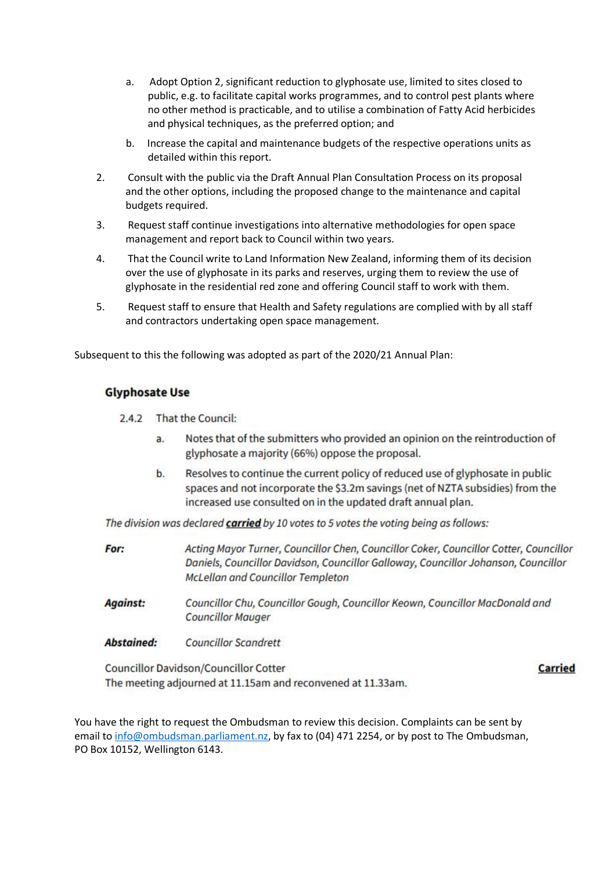- a. Adopt Option 2, significant reduction to glyphosate use, limited to sites closed to public, e.g. to facilitate capital works programmes, and to control pest plants where no other method is practicable, and to utilise a combination of Fatty Acid herbicides and physical techniques, as the preferred option; and
- b. Increase the capital and maintenance budgets of the respective operations units as detailed within this report.
- 2. Consult with the public via the Draft Annual Plan Consultation Process on its proposal and the other options, including the proposed change to the maintenance and capital budgets required.
- 3. Request staff continue investigations into alternative methodologies for open space management and report back to Council within two years.
- 4. That the Council write to Land Information New Zealand, informing them of its decision over the use of glyphosate in its parks and reserves, urging them to review the use of glyphosate in the residential red zone and offering Council staff to work with them.
- 5. Request staff to ensure that Health and Safety regulations are complied with by all staff and contractors undertaking open space management.

Subsequent to this the following was adopted as part of the 2020/21 Annual Plan:

# **Glyphosate Use**

- 2.4.2 That the Council:
	- Notes that of the submitters who provided an opinion on the reintroduction of  $a<sub>r</sub>$ glyphosate a majority (66%) oppose the proposal.
	- b. Resolves to continue the current policy of reduced use of glyphosate in public spaces and not incorporate the \$3.2m savings (net of NZTA subsidies) from the increased use consulted on in the updated draft annual plan.

The division was declared **carried** by 10 votes to 5 votes the voting being as follows:

- For: Acting Mayor Turner, Councillor Chen, Councillor Coker, Councillor Cotter, Councillor Daniels, Councillor Davidson, Councillor Galloway, Councillor Johanson, Councillor **McLellan and Councillor Templeton**
- **Against:** Councillor Chu, Councillor Gough, Councillor Keown, Councillor MacDonald and **Councillor Mauger**
- **Abstained: Councillor Scandrett**

Councillor Davidson/Councillor Cotter The meeting adjourned at 11.15am and reconvened at 11.33am. **Carried** 

You have the right to request the Ombudsman to review this decision. Complaints can be sent by email to [info@ombudsman.parliament.nz,](mailto:info@ombudsman.parliament.nz) by fax to (04) 471 2254, or by post to The Ombudsman, PO Box 10152, Wellington 6143.